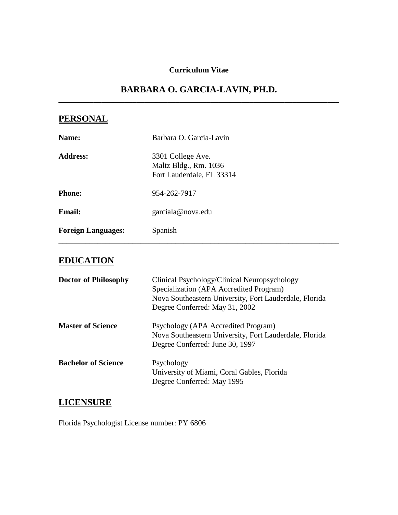#### **Curriculum Vitae**

## **BARBARA O. GARCIA-LAVIN, PH.D. \_\_\_\_\_\_\_\_\_\_\_\_\_\_\_\_\_\_\_\_\_\_\_\_\_\_\_\_\_\_\_\_\_\_\_\_\_\_\_\_\_\_\_\_\_\_\_\_\_\_\_\_\_\_\_\_\_\_\_\_\_\_\_\_\_\_\_\_\_\_\_\_**

# **PERSONAL**

| Name:                     | Barbara O. Garcia-Lavin                                                 |
|---------------------------|-------------------------------------------------------------------------|
| <b>Address:</b>           | 3301 College Ave.<br>Maltz Bldg., Rm. 1036<br>Fort Lauderdale, FL 33314 |
| <b>Phone:</b>             | 954-262-7917                                                            |
| <b>Email:</b>             | garciala@nova.edu                                                       |
| <b>Foreign Languages:</b> | Spanish                                                                 |

# **EDUCATION**

| <b>Doctor of Philosophy</b> | Clinical Psychology/Clinical Neuropsychology<br>Specialization (APA Accredited Program)<br>Nova Southeastern University, Fort Lauderdale, Florida<br>Degree Conferred: May 31, 2002 |
|-----------------------------|-------------------------------------------------------------------------------------------------------------------------------------------------------------------------------------|
| <b>Master of Science</b>    | Psychology (APA Accredited Program)<br>Nova Southeastern University, Fort Lauderdale, Florida<br>Degree Conferred: June 30, 1997                                                    |
| <b>Bachelor of Science</b>  | Psychology<br>University of Miami, Coral Gables, Florida<br>Degree Conferred: May 1995                                                                                              |

# **LICENSURE**

Florida Psychologist License number: PY 6806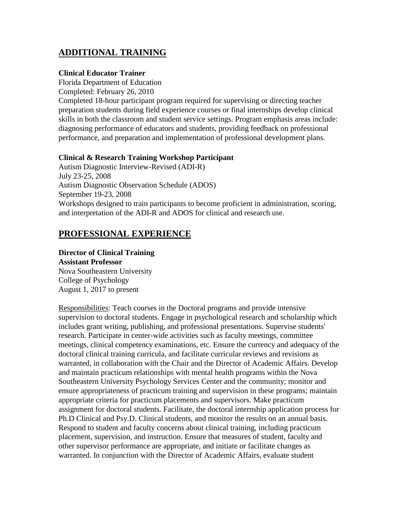## **ADDITIONAL TRAINING**

#### **Clinical Educator Trainer**

Florida Department of Education Completed: February 26, 2010 Completed 18-hour participant program required for supervising or directing teacher preparation students during field experience courses or final internships develop clinical skills in both the classroom and student service settings. Program emphasis areas include: diagnosing performance of educators and students, providing feedback on professional performance, and preparation and implementation of professional development plans.

#### **Clinical & Research Training Workshop Participant**

Autism Diagnostic Interview-Revised (ADI-R) July 23-25, 2008 Autism Diagnostic Observation Schedule (ADOS) September 19-23, 2008 Workshops designed to train participants to become proficient in administration, scoring, and interpretation of the ADI-R and ADOS for clinical and research use.

## **PROFESSIONAL EXPERIENCE**

### **Director of Clinical Training**

**Assistant Professor** Nova Southeastern University College of Psychology August 1, 2017 to present

Responsibilities: Teach courses in the Doctoral programs and provide intensive supervision to doctoral students. Engage in psychological research and scholarship which includes grant writing, publishing, and professional presentations. Supervise students' research. Participate in center-wide activities such as faculty meetings, committee meetings, clinical competency examinations, etc. Ensure the currency and adequacy of the doctoral clinical training curricula, and facilitate curricular reviews and revisions as warranted, in collaboration with the Chair and the Director of Academic Affairs. Develop and maintain practicum relationships with mental health programs within the Nova Southeastern University Psychology Services Center and the community; monitor and ensure appropriateness of practicum training and supervision in these programs; maintain appropriate criteria for practicum placements and supervisors. Make practicum assignment for doctoral students. Facilitate, the doctoral internship application process for Ph.D Clinical and Psy.D. Clinical students, and monitor the results on an annual basis. Respond to student and faculty concerns about clinical training, including practicum placement, supervision, and instruction. Ensure that measures of student, faculty and other supervisor performance are appropriate, and initiate or facilitate changes as warranted. In conjunction with the Director of Academic Affairs, evaluate student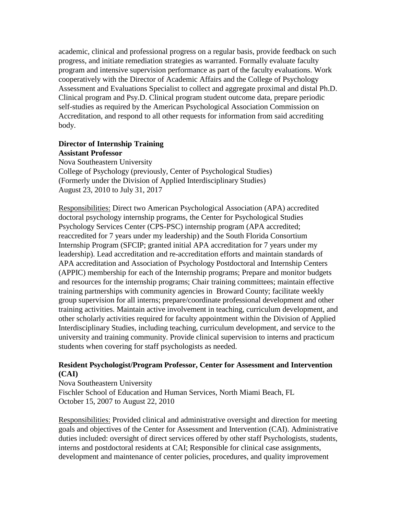academic, clinical and professional progress on a regular basis, provide feedback on such progress, and initiate remediation strategies as warranted. Formally evaluate faculty program and intensive supervision performance as part of the faculty evaluations. Work cooperatively with the Director of Academic Affairs and the College of Psychology Assessment and Evaluations Specialist to collect and aggregate proximal and distal Ph.D. Clinical program and Psy.D. Clinical program student outcome data, prepare periodic self-studies as required by the American Psychological Association Commission on Accreditation, and respond to all other requests for information from said accrediting body.

#### **Director of Internship Training Assistant Professor**

Nova Southeastern University College of Psychology (previously, Center of Psychological Studies) (Formerly under the Division of Applied Interdisciplinary Studies) August 23, 2010 to July 31, 2017

Responsibilities: Direct two American Psychological Association (APA) accredited doctoral psychology internship programs, the Center for Psychological Studies Psychology Services Center (CPS-PSC) internship program (APA accredited; reaccredited for 7 years under my leadership) and the South Florida Consortium Internship Program (SFCIP; granted initial APA accreditation for 7 years under my leadership). Lead accreditation and re-accreditation efforts and maintain standards of APA accreditation and Association of Psychology Postdoctoral and Internship Centers (APPIC) membership for each of the Internship programs; Prepare and monitor budgets and resources for the internship programs; Chair training committees; maintain effective training partnerships with community agencies in Broward County; facilitate weekly group supervision for all interns; prepare/coordinate professional development and other training activities. Maintain active involvement in teaching, curriculum development, and other scholarly activities required for faculty appointment within the Division of Applied Interdisciplinary Studies, including teaching, curriculum development, and service to the university and training community. Provide clinical supervision to interns and practicum students when covering for staff psychologists as needed.

### **Resident Psychologist/Program Professor, Center for Assessment and Intervention (CAI)**

Nova Southeastern University Fischler School of Education and Human Services, North Miami Beach, FL October 15, 2007 to August 22, 2010

Responsibilities: Provided clinical and administrative oversight and direction for meeting goals and objectives of the Center for Assessment and Intervention (CAI). Administrative duties included: oversight of direct services offered by other staff Psychologists, students, interns and postdoctoral residents at CAI; Responsible for clinical case assignments, development and maintenance of center policies, procedures, and quality improvement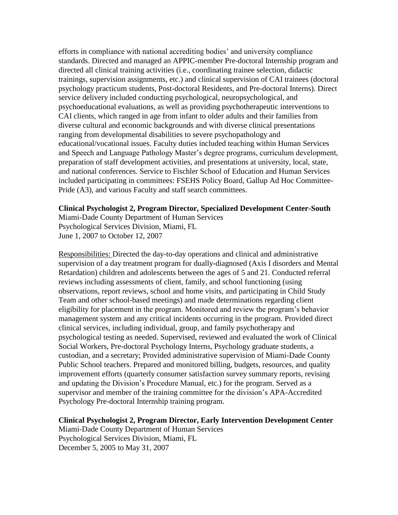efforts in compliance with national accrediting bodies' and university compliance standards. Directed and managed an APPIC-member Pre-doctoral Internship program and directed all clinical training activities (i.e., coordinating trainee selection, didactic trainings, supervision assignments, etc.) and clinical supervision of CAI trainees (doctoral psychology practicum students, Post-doctoral Residents, and Pre-doctoral Interns). Direct service delivery included conducting psychological, neuropsychological, and psychoeducational evaluations, as well as providing psychotherapeutic interventions to CAI clients, which ranged in age from infant to older adults and their families from diverse cultural and economic backgrounds and with diverse clinical presentations ranging from developmental disabilities to severe psychopathology and educational/vocational issues. Faculty duties included teaching within Human Services and Speech and Language Pathology Master's degree programs, curriculum development, preparation of staff development activities, and presentations at university, local, state, and national conferences. Service to Fischler School of Education and Human Services included participating in committees: FSEHS Policy Board, Gallup Ad Hoc Committee-Pride (A3), and various Faculty and staff search committees.

#### **Clinical Psychologist 2, Program Director, Specialized Development Center-South**

Miami-Dade County Department of Human Services Psychological Services Division, Miami, FL June 1, 2007 to October 12, 2007

Responsibilities: Directed the day-to-day operations and clinical and administrative supervision of a day treatment program for dually-diagnosed (Axis I disorders and Mental Retardation) children and adolescents between the ages of 5 and 21. Conducted referral reviews including assessments of client, family, and school functioning (using observations, report reviews, school and home visits, and participating in Child Study Team and other school-based meetings) and made determinations regarding client eligibility for placement in the program. Monitored and review the program's behavior management system and any critical incidents occurring in the program. Provided direct clinical services, including individual, group, and family psychotherapy and psychological testing as needed. Supervised, reviewed and evaluated the work of Clinical Social Workers, Pre-doctoral Psychology Interns, Psychology graduate students, a custodian, and a secretary; Provided administrative supervision of Miami-Dade County Public School teachers. Prepared and monitored billing, budgets, resources, and quality improvement efforts (quarterly consumer satisfaction survey summary reports, revising and updating the Division's Procedure Manual, etc.) for the program. Served as a supervisor and member of the training committee for the division's APA-Accredited Psychology Pre-doctoral Internship training program.

#### **Clinical Psychologist 2, Program Director, Early Intervention Development Center**

Miami-Dade County Department of Human Services Psychological Services Division, Miami, FL December 5, 2005 to May 31, 2007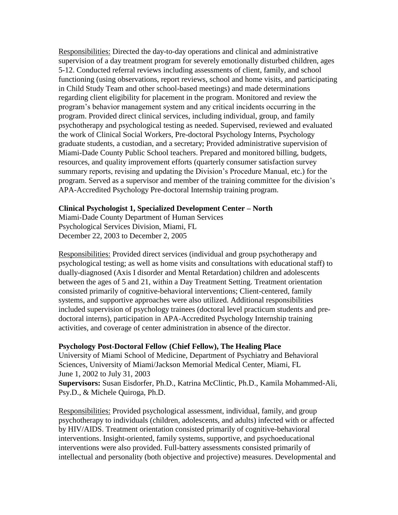Responsibilities: Directed the day-to-day operations and clinical and administrative supervision of a day treatment program for severely emotionally disturbed children, ages 5-12. Conducted referral reviews including assessments of client, family, and school functioning (using observations, report reviews, school and home visits, and participating in Child Study Team and other school-based meetings) and made determinations regarding client eligibility for placement in the program. Monitored and review the program's behavior management system and any critical incidents occurring in the program. Provided direct clinical services, including individual, group, and family psychotherapy and psychological testing as needed. Supervised, reviewed and evaluated the work of Clinical Social Workers, Pre-doctoral Psychology Interns, Psychology graduate students, a custodian, and a secretary; Provided administrative supervision of Miami-Dade County Public School teachers. Prepared and monitored billing, budgets, resources, and quality improvement efforts (quarterly consumer satisfaction survey summary reports, revising and updating the Division's Procedure Manual, etc.) for the program. Served as a supervisor and member of the training committee for the division's APA-Accredited Psychology Pre-doctoral Internship training program.

#### **Clinical Psychologist 1, Specialized Development Center – North**

Miami-Dade County Department of Human Services Psychological Services Division, Miami, FL December 22, 2003 to December 2, 2005

Responsibilities: Provided direct services (individual and group psychotherapy and psychological testing; as well as home visits and consultations with educational staff) to dually-diagnosed (Axis I disorder and Mental Retardation) children and adolescents between the ages of 5 and 21, within a Day Treatment Setting. Treatment orientation consisted primarily of cognitive-behavioral interventions; Client-centered, family systems, and supportive approaches were also utilized. Additional responsibilities included supervision of psychology trainees (doctoral level practicum students and predoctoral interns), participation in APA-Accredited Psychology Internship training activities, and coverage of center administration in absence of the director.

#### **Psychology Post-Doctoral Fellow (Chief Fellow), The Healing Place**

University of Miami School of Medicine, Department of Psychiatry and Behavioral Sciences, University of Miami/Jackson Memorial Medical Center, Miami, FL June 1, 2002 to July 31, 2003

**Supervisors:** Susan Eisdorfer, Ph.D., Katrina McClintic, Ph.D., Kamila Mohammed-Ali, Psy.D., & Michele Quiroga, Ph.D.

Responsibilities: Provided psychological assessment, individual, family, and group psychotherapy to individuals (children, adolescents, and adults) infected with or affected by HIV/AIDS. Treatment orientation consisted primarily of cognitive-behavioral interventions. Insight-oriented, family systems, supportive, and psychoeducational interventions were also provided. Full-battery assessments consisted primarily of intellectual and personality (both objective and projective) measures. Developmental and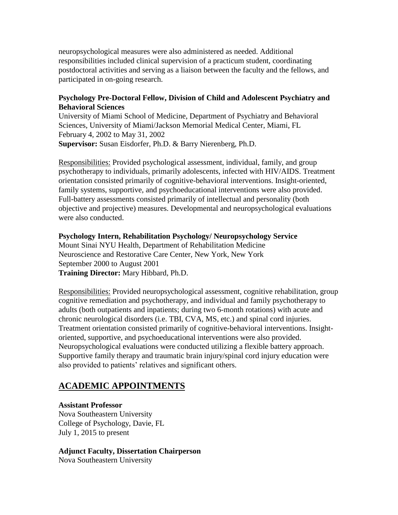neuropsychological measures were also administered as needed. Additional responsibilities included clinical supervision of a practicum student, coordinating postdoctoral activities and serving as a liaison between the faculty and the fellows, and participated in on-going research.

### **Psychology Pre-Doctoral Fellow, Division of Child and Adolescent Psychiatry and Behavioral Sciences**

University of Miami School of Medicine, Department of Psychiatry and Behavioral Sciences, University of Miami/Jackson Memorial Medical Center, Miami, FL February 4, 2002 to May 31, 2002 **Supervisor:** Susan Eisdorfer, Ph.D. & Barry Nierenberg, Ph.D.

Responsibilities: Provided psychological assessment, individual, family, and group psychotherapy to individuals, primarily adolescents, infected with HIV/AIDS. Treatment orientation consisted primarily of cognitive-behavioral interventions. Insight-oriented, family systems, supportive, and psychoeducational interventions were also provided. Full-battery assessments consisted primarily of intellectual and personality (both objective and projective) measures. Developmental and neuropsychological evaluations were also conducted.

#### **Psychology Intern, Rehabilitation Psychology/ Neuropsychology Service**

Mount Sinai NYU Health, Department of Rehabilitation Medicine Neuroscience and Restorative Care Center, New York, New York September 2000 to August 2001 **Training Director:** Mary Hibbard, Ph.D.

Responsibilities: Provided neuropsychological assessment, cognitive rehabilitation, group cognitive remediation and psychotherapy, and individual and family psychotherapy to adults (both outpatients and inpatients; during two 6-month rotations) with acute and chronic neurological disorders (i.e. TBI, CVA, MS, etc.) and spinal cord injuries. Treatment orientation consisted primarily of cognitive-behavioral interventions. Insightoriented, supportive, and psychoeducational interventions were also provided. Neuropsychological evaluations were conducted utilizing a flexible battery approach. Supportive family therapy and traumatic brain injury/spinal cord injury education were also provided to patients' relatives and significant others.

## **ACADEMIC APPOINTMENTS**

### **Assistant Professor**

Nova Southeastern University College of Psychology, Davie, FL July 1, 2015 to present

### **Adjunct Faculty, Dissertation Chairperson**

Nova Southeastern University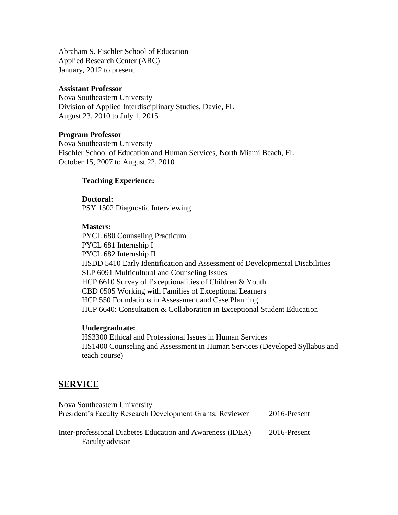Abraham S. Fischler School of Education Applied Research Center (ARC) January, 2012 to present

#### **Assistant Professor**

Nova Southeastern University Division of Applied Interdisciplinary Studies, Davie, FL August 23, 2010 to July 1, 2015

#### **Program Professor**

Nova Southeastern University Fischler School of Education and Human Services, North Miami Beach, FL October 15, 2007 to August 22, 2010

#### **Teaching Experience:**

**Doctoral:**  PSY 1502 Diagnostic Interviewing

#### **Masters:**

PYCL 680 Counseling Practicum PYCL 681 Internship I PYCL 682 Internship II HSDD 5410 Early Identification and Assessment of Developmental Disabilities SLP 6091 Multicultural and Counseling Issues HCP 6610 Survey of Exceptionalities of Children & Youth CBD 0505 Working with Families of Exceptional Learners HCP 550 Foundations in Assessment and Case Planning HCP 6640: Consultation & Collaboration in Exceptional Student Education

#### **Undergraduate:**

HS3300 Ethical and Professional Issues in Human Services HS1400 Counseling and Assessment in Human Services (Developed Syllabus and teach course)

### **SERVICE**

| Nova Southeastern University                               |              |
|------------------------------------------------------------|--------------|
| President's Faculty Research Development Grants, Reviewer  | 2016-Present |
|                                                            |              |
| Inter-professional Diabetes Education and Awareness (IDEA) | 2016-Present |
| Faculty advisor                                            |              |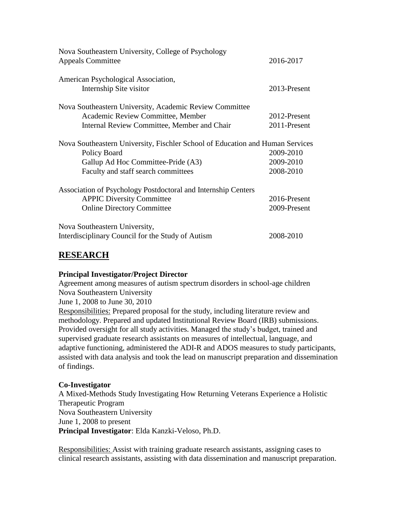| Nova Southeastern University, College of Psychology<br><b>Appeals Committee</b> | 2016-2017    |
|---------------------------------------------------------------------------------|--------------|
|                                                                                 |              |
| American Psychological Association,                                             |              |
| Internship Site visitor                                                         | 2013-Present |
| Nova Southeastern University, Academic Review Committee                         |              |
| Academic Review Committee, Member                                               | 2012-Present |
| Internal Review Committee, Member and Chair                                     | 2011-Present |
| Nova Southeastern University, Fischler School of Education and Human Services   |              |
| Policy Board                                                                    | 2009-2010    |
| Gallup Ad Hoc Committee-Pride (A3)                                              | 2009-2010    |
| Faculty and staff search committees                                             | 2008-2010    |
| Association of Psychology Postdoctoral and Internship Centers                   |              |
| <b>APPIC Diversity Committee</b>                                                | 2016-Present |
| <b>Online Directory Committee</b>                                               | 2009-Present |
| Nova Southeastern University,                                                   |              |
| Interdisciplinary Council for the Study of Autism                               | 2008-2010    |

## **RESEARCH**

### **Principal Investigator/Project Director**

Agreement among measures of autism spectrum disorders in school-age children Nova Southeastern University June 1, 2008 to June 30, 2010

Responsibilities: Prepared proposal for the study, including literature review and methodology. Prepared and updated Institutional Review Board (IRB) submissions. Provided oversight for all study activities. Managed the study's budget, trained and supervised graduate research assistants on measures of intellectual, language, and adaptive functioning, administered the ADI-R and ADOS measures to study participants, assisted with data analysis and took the lead on manuscript preparation and dissemination of findings.

### **Co-Investigator**

A Mixed-Methods Study Investigating How Returning Veterans Experience a Holistic Therapeutic Program Nova Southeastern University June 1, 2008 to present **Principal Investigator**: Elda Kanzki-Veloso, Ph.D.

Responsibilities: Assist with training graduate research assistants, assigning cases to clinical research assistants, assisting with data dissemination and manuscript preparation.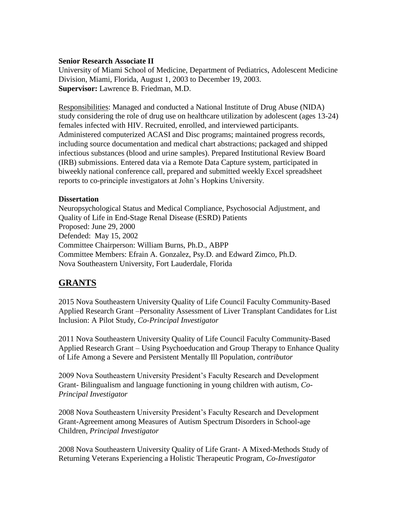#### **Senior Research Associate II**

University of Miami School of Medicine, Department of Pediatrics, Adolescent Medicine Division, Miami, Florida, August 1, 2003 to December 19, 2003. **Supervisor:** Lawrence B. Friedman, M.D.

Responsibilities: Managed and conducted a National Institute of Drug Abuse (NIDA) study considering the role of drug use on healthcare utilization by adolescent (ages 13-24) females infected with HIV. Recruited, enrolled, and interviewed participants. Administered computerized ACASI and Disc programs; maintained progress records, including source documentation and medical chart abstractions; packaged and shipped infectious substances (blood and urine samples). Prepared Institutional Review Board (IRB) submissions. Entered data via a Remote Data Capture system, participated in biweekly national conference call, prepared and submitted weekly Excel spreadsheet reports to co-principle investigators at John's Hopkins University.

#### **Dissertation**

Neuropsychological Status and Medical Compliance, Psychosocial Adjustment, and Quality of Life in End-Stage Renal Disease (ESRD) Patients Proposed: June 29, 2000 Defended: May 15, 2002 Committee Chairperson: William Burns, Ph.D., ABPP Committee Members: Efrain A. Gonzalez, Psy.D. and Edward Zimco, Ph.D. Nova Southeastern University, Fort Lauderdale, Florida

## **GRANTS**

2015 Nova Southeastern University Quality of Life Council Faculty Community-Based Applied Research Grant –Personality Assessment of Liver Transplant Candidates for List Inclusion: A Pilot Study, *Co-Principal Investigator*

2011 Nova Southeastern University Quality of Life Council Faculty Community-Based Applied Research Grant – Using Psychoeducation and Group Therapy to Enhance Quality of Life Among a Severe and Persistent Mentally Ill Population, *contributor*

2009 Nova Southeastern University President's Faculty Research and Development Grant- Bilingualism and language functioning in young children with autism, *Co-Principal Investigator*

2008 Nova Southeastern University President's Faculty Research and Development Grant-Agreement among Measures of Autism Spectrum Disorders in School-age Children, *Principal Investigator*

2008 Nova Southeastern University Quality of Life Grant- A Mixed-Methods Study of Returning Veterans Experiencing a Holistic Therapeutic Program, *Co-Investigator*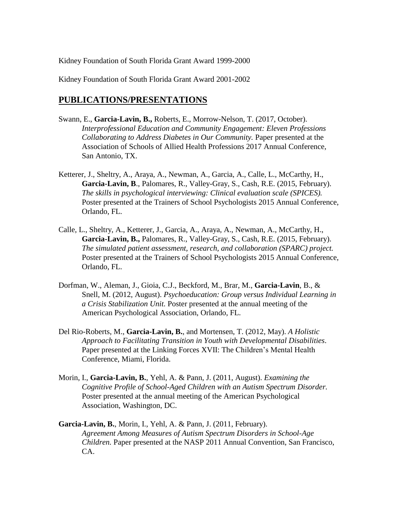Kidney Foundation of South Florida Grant Award 1999-2000

Kidney Foundation of South Florida Grant Award 2001-2002

## **PUBLICATIONS/PRESENTATIONS**

- Swann, E., **Garcia-Lavin, B.,** Roberts, E., Morrow-Nelson, T. (2017, October). *Interprofessional Education and Community Engagement: Eleven Professions Collaborating to Address Diabetes in Our Community.* Paper presented at the Association of Schools of Allied Health Professions 2017 Annual Conference, San Antonio, TX.
- Ketterer, J., Sheltry, A., Araya, A., Newman, A., Garcia, A., Calle, L., McCarthy, H., **Garcia-Lavin, B**., Palomares, R., Valley-Gray, S., Cash, R.E. (2015, February). *The skills in psychological interviewing: Clinical evaluation scale (SPICES).* Poster presented at the Trainers of School Psychologists 2015 Annual Conference, Orlando, FL.
- Calle, L., Sheltry, A., Ketterer, J., Garcia, A., Araya, A., Newman, A., McCarthy, H., **Garcia-Lavin, B.,** Palomares, R., Valley-Gray, S., Cash, R.E. (2015, February). *The simulated patient assessment, research, and collaboration (SPARC) project.*  Poster presented at the Trainers of School Psychologists 2015 Annual Conference, Orlando, FL.
- Dorfman, W., Aleman, J., Gioia, C.J., Beckford, M., Brar, M., **Garcia-Lavin**, B., & Snell, M. (2012, August). *Psychoeducation: Group versus Individual Learning in a Crisis Stabilization Unit.* Poster presented at the annual meeting of the American Psychological Association, Orlando, FL.
- Del Rio-Roberts, M., **Garcia-Lavin, B.**, and Mortensen, T. (2012, May). *A Holistic Approach to Facilitating Transition in Youth with Developmental Disabilities.* Paper presented at the Linking Forces XVII: The Children's Mental Health Conference, Miami, Florida.
- Morin, I., **Garcia-Lavin, B.**, Yehl, A. & Pann, J. (2011, August). *Examining the Cognitive Profile of School-Aged Children with an Autism Spectrum Disorder.* Poster presented at the annual meeting of the American Psychological Association, Washington, DC.
- **Garcia-Lavin, B.**, Morin, I., Yehl, A. & Pann, J. (2011, February). *Agreement Among Measures of Autism Spectrum Disorders in School-Age Children.* Paper presented at the NASP 2011 Annual Convention, San Francisco, CA.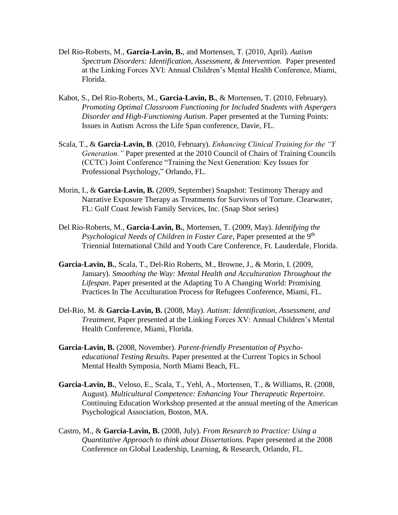- Del Rio-Roberts, M., **Garcia-Lavin, B.**, and Mortensen, T. (2010, April). *Autism Spectrum Disorders: Identification, Assessment, & Intervention.* Paper presented at the Linking Forces XVI: Annual Children's Mental Health Conference, Miami, Florida.
- Kabot, S., Del Rio-Roberts, M., **Garcia-Lavin, B.**, & Mortensen, T. (2010, February). *Promoting Optimal Classroom Functioning for Included Students with Aspergers Disorder and High-Functioning Autism*. Paper presented at the Turning Points: Issues in Autism Across the Life Span conference, Davie, FL.
- Scala, T., & **Garcia-Lavin, B**. (2010, February). *Enhancing Clinical Training for the "Y Generation."* Paper presented at the 2010 Council of Chairs of Training Councils (CCTC) Joint Conference "Training the Next Generation: Key Issues for Professional Psychology," Orlando, FL.
- Morin, I., & **Garcia-Lavin, B.** (2009, September) Snapshot: Testimony Therapy and Narrative Exposure Therapy as Treatments for Survivors of Torture. Clearwater, FL: Gulf Coast Jewish Family Services, Inc. (Snap Shot series)
- Del Rio-Roberts, M., **Garcia-Lavin, B.**, Mortensen, T. (2009, May). *Identifying the Psychological Needs of Children in Foster Care*, Paper presented at the 9<sup>th</sup> Triennial International Child and Youth Care Conference, Ft. Lauderdale, Florida.
- **Garcia-Lavin, B.**, Scala, T., Del-Rio Roberts, M., Browne, J., & Morin, I. (2009, January). *Smoothing the Way: Mental Health and Acculturation Throughout the Lifespan*. Paper presented at the Adapting To A Changing World: Promising Practices In The Acculturation Process for Refugees Conference, Miami, FL.
- Del-Rio, M. & **Garcia-Lavin, B.** (2008, May). *Autism: Identification, Assessment, and Treatment*, Paper presented at the Linking Forces XV: Annual Children's Mental Health Conference, Miami, Florida.
- **Garcia-Lavin, B.** (2008, November). *Parent-friendly Presentation of Psychoeducational Testing Results.* Paper presented at the Current Topics in School Mental Health Symposia, North Miami Beach, FL.
- **Garcia-Lavin, B.**, Veloso, E., Scala, T., Yehl, A., Mortensen, T., & Williams, R. (2008, August). *Multicultural Competence: Enhancing Your Therapeutic Repertoire.*  Continuing Education Workshop presented at the annual meeting of the American Psychological Association, Boston, MA.
- Castro, M., & **Garcia-Lavin, B.** (2008, July). *From Research to Practice: Using a Quantitative Approach to think about Dissertations*. Paper presented at the 2008 Conference on Global Leadership, Learning, & Research, Orlando, FL.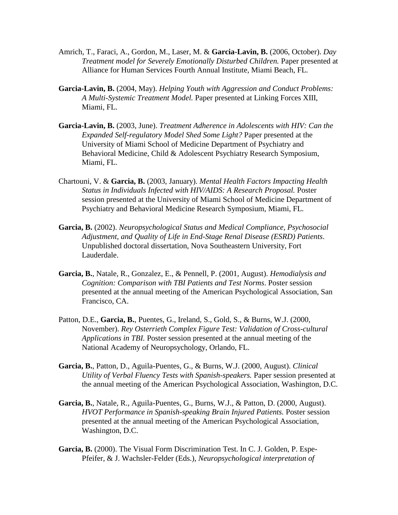- Amrich, T., Faraci, A., Gordon, M., Laser, M. & **Garcia-Lavin, B.** (2006, October). *Day Treatment model for Severely Emotionally Disturbed Children.* Paper presented at Alliance for Human Services Fourth Annual Institute, Miami Beach, FL.
- **Garcia-Lavin, B.** (2004, May). *Helping Youth with Aggression and Conduct Problems: A Multi-Systemic Treatment Model.* Paper presented at Linking Forces XIII, Miami, FL.
- **Garcia-Lavin, B.** (2003, June). *Treatment Adherence in Adolescents with HIV: Can the Expanded Self-regulatory Model Shed Some Light?* Paper presented at the University of Miami School of Medicine Department of Psychiatry and Behavioral Medicine, Child & Adolescent Psychiatry Research Symposium, Miami, FL.
- Chartouni, V. & **Garcia, B.** (2003, January). *Mental Health Factors Impacting Health Status in Individuals Infected with HIV/AIDS: A Research Proposal.* Poster session presented at the University of Miami School of Medicine Department of Psychiatry and Behavioral Medicine Research Symposium, Miami, FL.
- **Garcia, B.** (2002). *Neuropsychological Status and Medical Compliance, Psychosocial Adjustment, and Quality of Life in End-Stage Renal Disease (ESRD) Patients*. Unpublished doctoral dissertation, Nova Southeastern University, Fort Lauderdale.
- **Garcia, B.**, Natale, R., Gonzalez, E., & Pennell, P. (2001, August). *Hemodialysis and Cognition: Comparison with TBI Patients and Test Norms*. Poster session presented at the annual meeting of the American Psychological Association, San Francisco, CA.
- Patton, D.E., **Garcia, B.**, Puentes, G., Ireland, S., Gold, S., & Burns, W.J. (2000, November). *Rey Osterrieth Complex Figure Test: Validation of Cross-cultural Applications in TBI.* Poster session presented at the annual meeting of the National Academy of Neuropsychology, Orlando, FL.
- **Garcia, B.**, Patton, D., Aguila-Puentes, G., & Burns, W.J. (2000, August). *Clinical Utility of Verbal Fluency Tests with Spanish-speakers.* Paper session presented at the annual meeting of the American Psychological Association, Washington, D.C.
- **Garcia, B.**, Natale, R., Aguila-Puentes, G., Burns, W.J., & Patton, D. (2000, August). *HVOT Performance in Spanish-speaking Brain Injured Patients.* Poster session presented at the annual meeting of the American Psychological Association, Washington, D.C.
- **Garcia, B.** (2000). The Visual Form Discrimination Test. In C. J. Golden, P. Espe-Pfeifer, & J. Wachsler-Felder (Eds.), *Neuropsychological interpretation of*